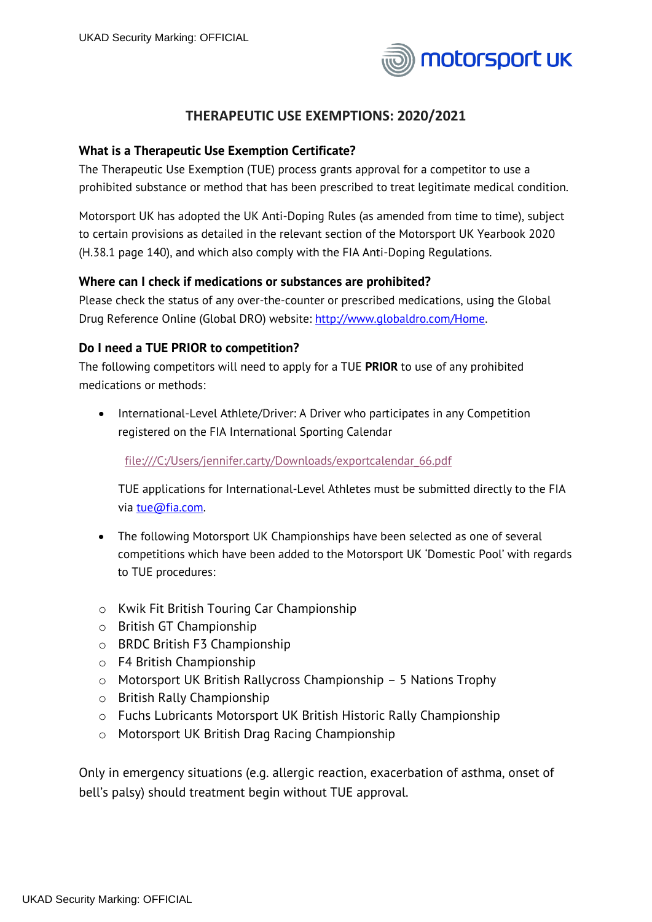

# **THERAPEUTIC USE EXEMPTIONS: 2020/2021**

## **What is a Therapeutic Use Exemption Certificate?**

The Therapeutic Use Exemption (TUE) process grants approval for a competitor to use a prohibited substance or method that has been prescribed to treat legitimate medical condition.

Motorsport UK has adopted the UK Anti-Doping Rules (as amended from time to time), subject to certain provisions as detailed in the relevant section of the Motorsport UK Yearbook 2020 (H.38.1 page 140), and which also comply with the FIA Anti-Doping Regulations.

#### **Where can I check if medications or substances are prohibited?**

Please check the status of any over-the-counter or prescribed medications, using the Global Drug Reference Online (Global DRO) website: [http://www.globaldro.com/Home.](https://emea01.safelinks.protection.outlook.com/?url=http%3A%2F%2Fwww.globaldro.com%2FHome&data=02%7C01%7CSamuel.Pool%40ukad.org.uk%7C43a79e7a82b7461169c608d57a014459%7C33df76429273468d85a24ce01c03c7a2%7C0%7C0%7C636549068228972413&sdata=EOyW0CFzR3fxVJ%2F5Jf0oXai1e%2FS4%2FPsT5VQFPvzs8YA%3D&reserved=0)

## **Do I need a TUE PRIOR to competition?**

The following competitors will need to apply for a TUE **PRIOR** to use of any prohibited medications or methods:

• International-Level Athlete/Driver: A Driver who participates in any Competition registered on the FIA International Sporting Calendar

[file:///C:/Users/jennifer.carty/Downloads/exportcalendar\\_66.pdf](file:///C:/Users/jennifer.carty/Downloads/exportcalendar_66.pdf)

TUE applications for International-Level Athletes must be submitted directly to the FIA via [tue@fia.com.](mailto:tue@fia.com)

- The following Motorsport UK Championships have been selected as one of several competitions which have been added to the Motorsport UK 'Domestic Pool' with regards to TUE procedures:
- o Kwik Fit British Touring Car Championship
- o British GT Championship
- o BRDC British F3 Championship
- o F4 British Championship
- o Motorsport UK British Rallycross Championship 5 Nations Trophy
- o British Rally Championship
- o Fuchs Lubricants Motorsport UK British Historic Rally Championship
- o Motorsport UK British Drag Racing Championship

Only in emergency situations (e.g. allergic reaction, exacerbation of asthma, onset of bell's palsy) should treatment begin without TUE approval.